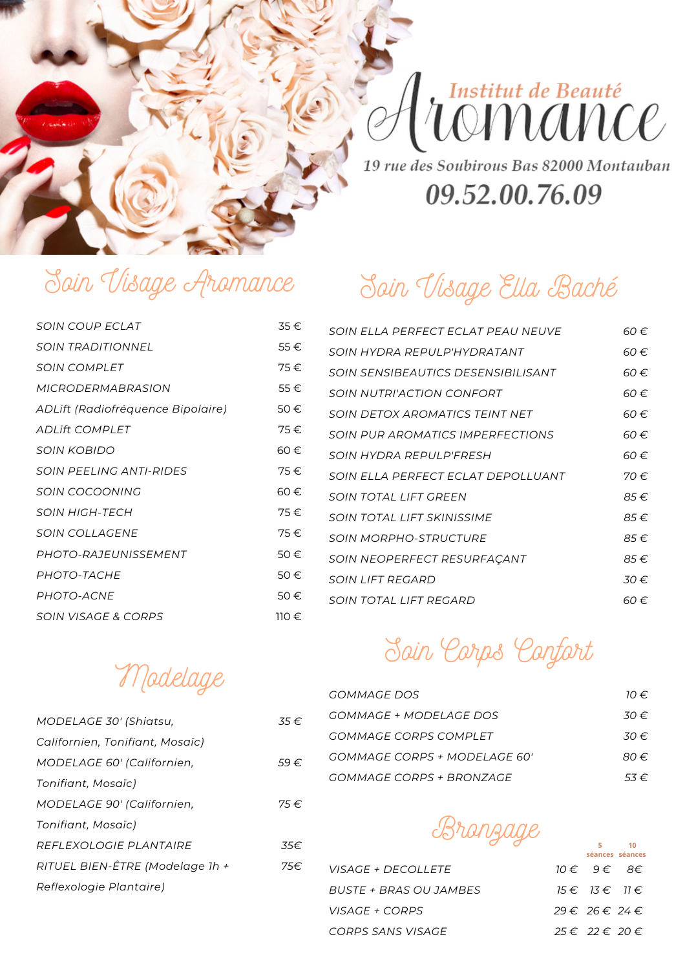

# Institut de Beauté<br>UOMANCO

19 rue des Soubirous Bas 82000 Montauban

#### 09.52.00.76.09

# Soin Visage Aromance

| <i>SOIN COUP ECLAT</i>            | 35€   |
|-----------------------------------|-------|
| <b>SOIN TRADITIONNEL</b>          | 55€   |
| <b>SOIN COMPLET</b>               | 75€   |
| <b>MICRODERMABRASION</b>          | 55€   |
| ADLift (Radiofréquence Bipolaire) | 50€   |
| <b>ADLift COMPLET</b>             | 75€   |
| <b>SOIN KOBIDO</b>                | 60€   |
| <b>SOIN PEELING ANTI-RIDES</b>    | 75€   |
| <b>SOIN COCOONING</b>             | 60€   |
| SOIN HIGH-TFCH                    | 75€   |
| <i>SOIN COLLAGENE</i>             | 75€.  |
| PHOTO-RAJEUNISSEMENT              | 50€   |
| PHOTO-TACHE                       | 50€   |
| PHOTO-ACNE                        | 50€   |
| <b>SOIN VISAGE &amp; CORPS</b>    | 110 € |

# Soin Visage Ella Baché

| SOIN ELLA PERFECT ECLAT PEAU NEUVE      | 60 €.    |
|-----------------------------------------|----------|
| SOIN HYDRA REPUI P'HYDRATANT            | 60€      |
| SOIN SENSIBEAUTICS DESENSIBILISANT      | 60€      |
| SOIN NUTRI'ACTION CONFORT               | 60 €.    |
| <b>SOIN DETOX AROMATICS TEINT NET</b>   | 60 €.    |
| <b>SOIN PUR AROMATICS IMPERFECTIONS</b> | 60€      |
| SOIN HYDRA REPUI P'ERESH                | 60 €.    |
| SOIN ELLA PERFECT ECLAT DEPOLLUANT      | 70 €     |
| <b>SOIN TOTAL LIFT GREEN</b>            | 85€      |
| SOIN TOTAL LIFT SKINISSIME              | 85€      |
| <b>SOIN MORPHO-STRUCTURE</b>            | 85€      |
| SOIN NEOPERFECT RESURFAÇANT             | 85€      |
| SOIN LIFT REGARD                        | $30 \in$ |
| SOIN TOTAL LIFT REGARD                  | 60 €.    |

# Soin Corps Confort

| GOMMAGE DOS                  | $10 \in$ |
|------------------------------|----------|
| GOMMAGE + MODELAGE DOS       | .30 €    |
| GOMMAGE CORPS COMPLET        | .30 €    |
| GOMMAGE CORPS + MODELAGE 60' | 80 €     |
| GOMMAGE CORPS + BRONZAGE     | $53 \in$ |

Bronzage

**5**

**10**

|                        | Séances séances        |  |
|------------------------|------------------------|--|
| VISAGE + DECOLLETE     | 10€ 9€ 8€              |  |
| BUSTE + BRAS OU JAMBES | $15 \in 13 \in 11 \in$ |  |
| <i>VISAGE + CORPS</i>  | $29 \in 26 \in 24 \in$ |  |
| CORPS SANS VISAGE      | $25 \in 22 \in 20 \in$ |  |

Modelage

| MODELAGE 30' (Shiatsu,          | $.35 \in$ |
|---------------------------------|-----------|
| Californien, Tonifiant, Mosaïc) |           |
| MODELAGE 60' (Californien,      | 59€       |
| Tonifiant, Mosaïc)              |           |
| MODELAGE 90' (Californien,      | 75€.      |
| Tonifiant, Mosaïc)              |           |
| REFLEXOLOGIE PLANTAIRE          | .35€.     |
| RITUEL BIEN-ÊTRE (Modelage 1h + | 75€.      |
| Reflexologie Plantaire)         |           |